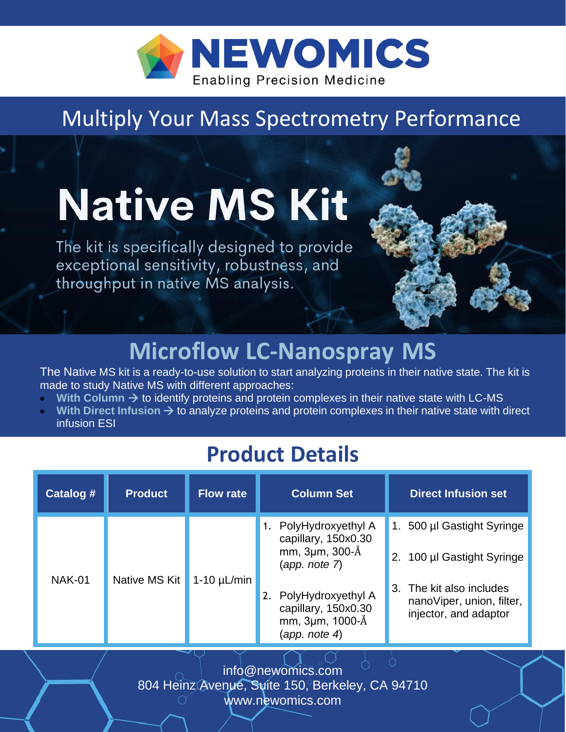

### Multiply Your Mass Spectrometry Performance

# **Native MS Kit**

The kit is specifically designed to provide exceptional sensitivity, robustness, and throughput in native MS analysis.



The Native MS kit is a ready-to-use solution to start analyzing proteins in their native state. The kit is made to study Native MS with different approaches:

- **With Column → to identify proteins and protein complexes in their native state with LC-MS**
- **With Direct Infusion → to analyze proteins and protein complexes in their native state with direct** infusion ESI

### **Product Details And American Street Avenue Avenue Avenue Avenue Avenue Avenue Avenue Avenue Avenue Avenue Ave**

| Catalog #     | <b>Product</b> | <b>Flow rate</b> | <b>Column Set</b>                                                                                                                                             | <b>Direct Infusion set</b>                                                                                                                    |
|---------------|----------------|------------------|---------------------------------------------------------------------------------------------------------------------------------------------------------------|-----------------------------------------------------------------------------------------------------------------------------------------------|
| <b>NAK-01</b> | Native MS Kit  | $1-10 \mu L/min$ | PolyHydroxyethyl A<br>capillary, 150x0.30<br>mm, 3µm, 300-Å<br>(app. note 7)<br>PolyHydroxyethyl A<br>capillary, 150x0.30<br>mm, 3µm, 1000-Å<br>(app. note 4) | 1. 500 µl Gastight Syringe<br>100 µl Gastight Syringe<br>2.<br>3. The kit also includes<br>nanoViper, union, filter,<br>injector, and adaptor |

info@newomics.com 804 Heinz Avenue, Suite 150, Berkeley, CA 94710 www.newomics.com